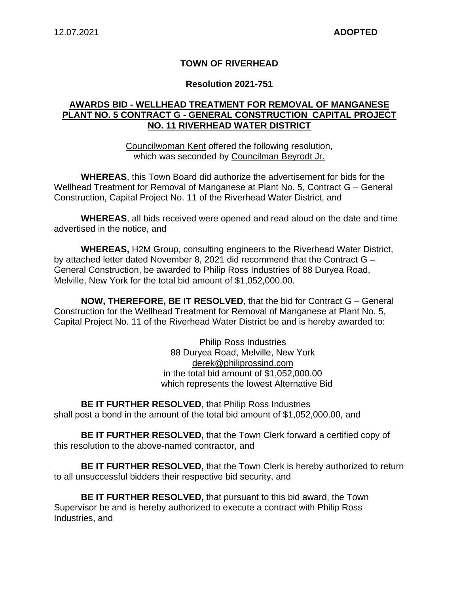### **TOWN OF RIVERHEAD**

#### **Resolution 2021-751**

### **AWARDS BID - WELLHEAD TREATMENT FOR REMOVAL OF MANGANESE PLANT NO. 5 CONTRACT G - GENERAL CONSTRUCTION CAPITAL PROJECT NO. 11 RIVERHEAD WATER DISTRICT**

Councilwoman Kent offered the following resolution, which was seconded by Councilman Beyrodt Jr.

**WHEREAS**, this Town Board did authorize the advertisement for bids for the Wellhead Treatment for Removal of Manganese at Plant No. 5, Contract G – General Construction, Capital Project No. 11 of the Riverhead Water District, and

**WHEREAS**, all bids received were opened and read aloud on the date and time advertised in the notice, and

**WHEREAS,** H2M Group, consulting engineers to the Riverhead Water District, by attached letter dated November 8, 2021 did recommend that the Contract G – General Construction, be awarded to Philip Ross Industries of 88 Duryea Road, Melville, New York for the total bid amount of \$1,052,000.00.

**NOW, THEREFORE, BE IT RESOLVED**, that the bid for Contract G – General Construction for the Wellhead Treatment for Removal of Manganese at Plant No. 5, Capital Project No. 11 of the Riverhead Water District be and is hereby awarded to:

> Philip Ross Industries 88 Duryea Road, Melville, New York derek@philiprossind.com in the total bid amount of \$1,052,000.00 which represents the lowest Alternative Bid

**BE IT FURTHER RESOLVED**, that Philip Ross Industries shall post a bond in the amount of the total bid amount of \$1,052,000.00, and

**BE IT FURTHER RESOLVED,** that the Town Clerk forward a certified copy of this resolution to the above-named contractor, and

**BE IT FURTHER RESOLVED,** that the Town Clerk is hereby authorized to return to all unsuccessful bidders their respective bid security, and

**BE IT FURTHER RESOLVED,** that pursuant to this bid award, the Town Supervisor be and is hereby authorized to execute a contract with Philip Ross Industries, and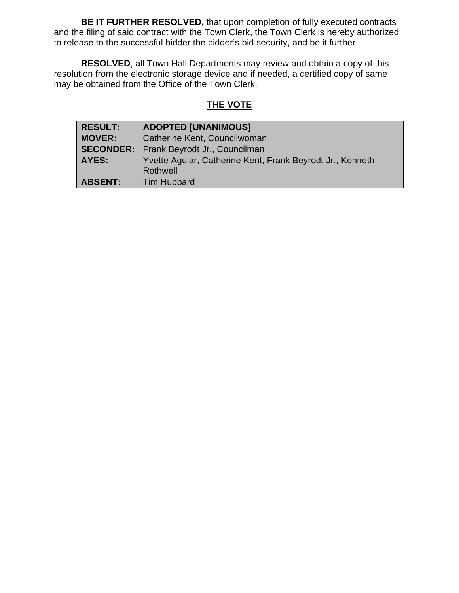**BE IT FURTHER RESOLVED,** that upon completion of fully executed contracts and the filing of said contract with the Town Clerk, the Town Clerk is hereby authorized to release to the successful bidder the bidder's bid security, and be it further

**RESOLVED**, all Town Hall Departments may review and obtain a copy of this resolution from the electronic storage device and if needed, a certified copy of same may be obtained from the Office of the Town Clerk.

# **THE VOTE**

| <b>RESULT:</b> | <b>ADOPTED [UNANIMOUS]</b>                                |  |
|----------------|-----------------------------------------------------------|--|
| <b>MOVER:</b>  | Catherine Kent, Councilwoman                              |  |
|                | <b>SECONDER:</b> Frank Beyrodt Jr., Councilman            |  |
| <b>AYES:</b>   | Yvette Aguiar, Catherine Kent, Frank Beyrodt Jr., Kenneth |  |
|                | Rothwell                                                  |  |
| <b>ABSENT:</b> | <b>Tim Hubbard</b>                                        |  |